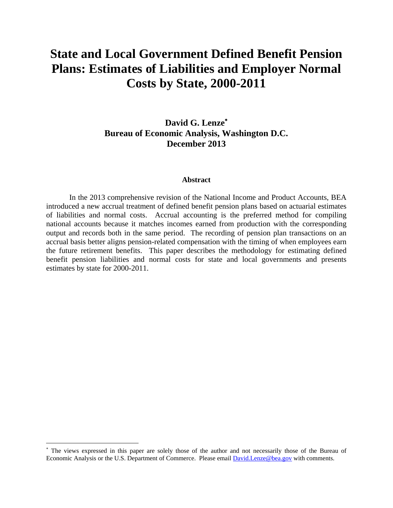# **State and Local Government Defined Benefit Pension Plans: Estimates of Liabilities and Employer Normal Costs by State, 2000-2011**

## **David G. Lenze Bureau of Economic Analysis, Washington D.C. December 2013**

#### **Abstract**

 In the 2013 comprehensive revision of the National Income and Product Accounts, BEA introduced a new accrual treatment of defined benefit pension plans based on actuarial estimates of liabilities and normal costs. Accrual accounting is the preferred method for compiling national accounts because it matches incomes earned from production with the corresponding output and records both in the same period. The recording of pension plan transactions on an accrual basis better aligns pension-related compensation with the timing of when employees earn the future retirement benefits. This paper describes the methodology for estimating defined benefit pension liabilities and normal costs for state and local governments and presents estimates by state for 2000-2011.

 The views expressed in this paper are solely those of the author and not necessarily those of the Bureau of Economic Analysis or the U.S. Department of Commerce. Please email David.Lenze@bea.gov with comments.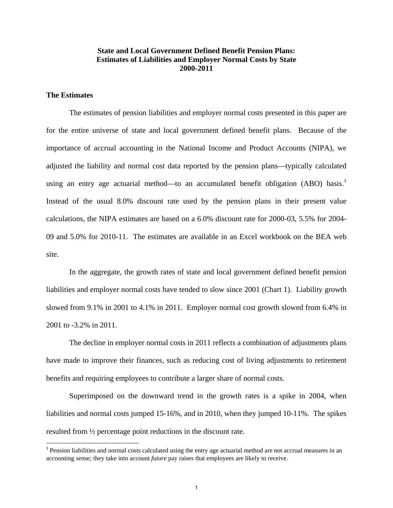## **State and Local Government Defined Benefit Pension Plans: Estimates of Liabilities and Employer Normal Costs by State 2000-2011**

## **The Estimates**

 The estimates of pension liabilities and employer normal costs presented in this paper are for the entire universe of state and local government defined benefit plans. Because of the importance of accrual accounting in the National Income and Product Accounts (NIPA), we adjusted the liability and normal cost data reported by the pension plans—typically calculated using an entry age actuarial method—to an accumulated benefit obligation (ABO) basis.<sup>1</sup> Instead of the usual 8.0% discount rate used by the pension plans in their present value calculations, the NIPA estimates are based on a 6.0% discount rate for 2000-03, 5.5% for 2004- 09 and 5.0% for 2010-11. The estimates are available in an Excel workbook on the BEA web site.

 In the aggregate, the growth rates of state and local government defined benefit pension liabilities and employer normal costs have tended to slow since 2001 (Chart 1). Liability growth slowed from 9.1% in 2001 to 4.1% in 2011. Employer normal cost growth slowed from 6.4% in 2001 to -3.2% in 2011.

 The decline in employer normal costs in 2011 reflects a combination of adjustments plans have made to improve their finances, such as reducing cost of living adjustments to retirement benefits and requiring employees to contribute a larger share of normal costs.

 Superimposed on the downward trend in the growth rates is a spike in 2004, when liabilities and normal costs jumped 15-16%, and in 2010, when they jumped 10-11%. The spikes resulted from ½ percentage point reductions in the discount rate.

<sup>&</sup>lt;sup>1</sup> Pension liabilities and normal costs calculated using the entry age actuarial method are not accrual measures in an accounting sense; they take into account *future* pay raises that employees are likely to receive.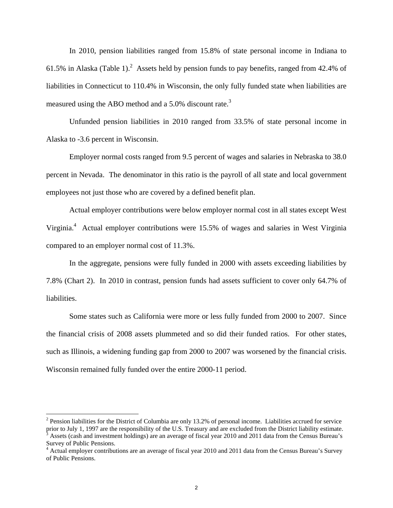In 2010, pension liabilities ranged from 15.8% of state personal income in Indiana to 61.5% in Alaska (Table 1).<sup>2</sup> Assets held by pension funds to pay benefits, ranged from 42.4% of liabilities in Connecticut to 110.4% in Wisconsin, the only fully funded state when liabilities are measured using the ABO method and a 5.0% discount rate.3

 Unfunded pension liabilities in 2010 ranged from 33.5% of state personal income in Alaska to -3.6 percent in Wisconsin.

 Employer normal costs ranged from 9.5 percent of wages and salaries in Nebraska to 38.0 percent in Nevada. The denominator in this ratio is the payroll of all state and local government employees not just those who are covered by a defined benefit plan.

 Actual employer contributions were below employer normal cost in all states except West Virginia.<sup>4</sup> Actual employer contributions were 15.5% of wages and salaries in West Virginia compared to an employer normal cost of 11.3%.

 In the aggregate, pensions were fully funded in 2000 with assets exceeding liabilities by 7.8% (Chart 2). In 2010 in contrast, pension funds had assets sufficient to cover only 64.7% of liabilities.

 Some states such as California were more or less fully funded from 2000 to 2007. Since the financial crisis of 2008 assets plummeted and so did their funded ratios. For other states, such as Illinois, a widening funding gap from 2000 to 2007 was worsened by the financial crisis. Wisconsin remained fully funded over the entire 2000-11 period.

 $2$  Pension liabilities for the District of Columbia are only 13.2% of personal income. Liabilities accrued for service prior to July 1, 1997 are the responsibility of the U.S. Treasury and are excluded from the District liability estimate. Assets (cash and investment holdings) are an average of fiscal year 2010 and 2011 data from the Census Bureau's Survey of Public Pensions.

<sup>&</sup>lt;sup>4</sup> Actual employer contributions are an average of fiscal year 2010 and 2011 data from the Census Bureau's Survey of Public Pensions.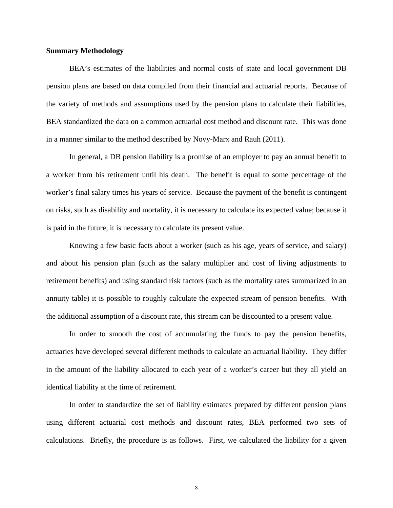#### **Summary Methodology**

 BEA's estimates of the liabilities and normal costs of state and local government DB pension plans are based on data compiled from their financial and actuarial reports. Because of the variety of methods and assumptions used by the pension plans to calculate their liabilities, BEA standardized the data on a common actuarial cost method and discount rate. This was done in a manner similar to the method described by Novy-Marx and Rauh (2011).

 In general, a DB pension liability is a promise of an employer to pay an annual benefit to a worker from his retirement until his death. The benefit is equal to some percentage of the worker's final salary times his years of service. Because the payment of the benefit is contingent on risks, such as disability and mortality, it is necessary to calculate its expected value; because it is paid in the future, it is necessary to calculate its present value.

 Knowing a few basic facts about a worker (such as his age, years of service, and salary) and about his pension plan (such as the salary multiplier and cost of living adjustments to retirement benefits) and using standard risk factors (such as the mortality rates summarized in an annuity table) it is possible to roughly calculate the expected stream of pension benefits. With the additional assumption of a discount rate, this stream can be discounted to a present value.

 In order to smooth the cost of accumulating the funds to pay the pension benefits, actuaries have developed several different methods to calculate an actuarial liability. They differ in the amount of the liability allocated to each year of a worker's career but they all yield an identical liability at the time of retirement.

 In order to standardize the set of liability estimates prepared by different pension plans using different actuarial cost methods and discount rates, BEA performed two sets of calculations. Briefly, the procedure is as follows. First, we calculated the liability for a given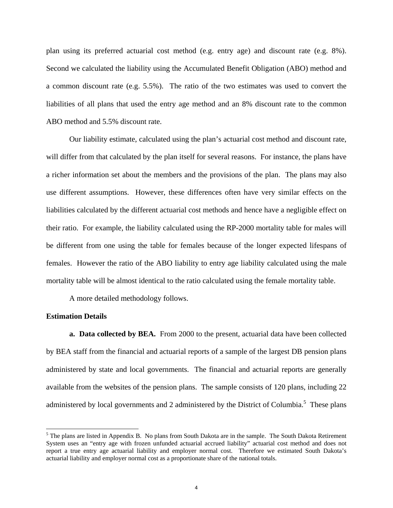plan using its preferred actuarial cost method (e.g. entry age) and discount rate (e.g. 8%). Second we calculated the liability using the Accumulated Benefit Obligation (ABO) method and a common discount rate (e.g. 5.5%). The ratio of the two estimates was used to convert the liabilities of all plans that used the entry age method and an 8% discount rate to the common ABO method and 5.5% discount rate.

 Our liability estimate, calculated using the plan's actuarial cost method and discount rate, will differ from that calculated by the plan itself for several reasons. For instance, the plans have a richer information set about the members and the provisions of the plan. The plans may also use different assumptions. However, these differences often have very similar effects on the liabilities calculated by the different actuarial cost methods and hence have a negligible effect on their ratio. For example, the liability calculated using the RP-2000 mortality table for males will be different from one using the table for females because of the longer expected lifespans of females. However the ratio of the ABO liability to entry age liability calculated using the male mortality table will be almost identical to the ratio calculated using the female mortality table.

A more detailed methodology follows.

#### **Estimation Details**

 **a. Data collected by BEA.** From 2000 to the present, actuarial data have been collected by BEA staff from the financial and actuarial reports of a sample of the largest DB pension plans administered by state and local governments. The financial and actuarial reports are generally available from the websites of the pension plans. The sample consists of 120 plans, including 22 administered by local governments and 2 administered by the District of Columbia.<sup>5</sup> These plans

 $<sup>5</sup>$  The plans are listed in Appendix B. No plans from South Dakota are in the sample. The South Dakota Retirement</sup> System uses an "entry age with frozen unfunded actuarial accrued liability" actuarial cost method and does not report a true entry age actuarial liability and employer normal cost. Therefore we estimated South Dakota's actuarial liability and employer normal cost as a proportionate share of the national totals.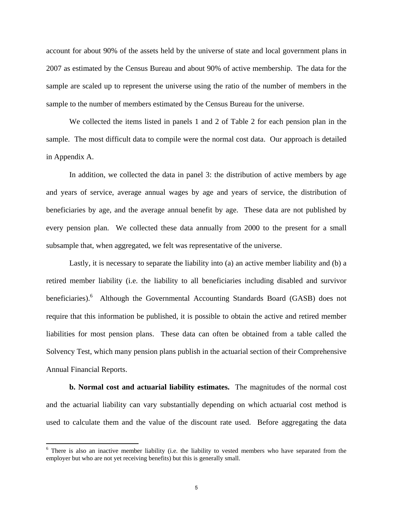account for about 90% of the assets held by the universe of state and local government plans in 2007 as estimated by the Census Bureau and about 90% of active membership. The data for the sample are scaled up to represent the universe using the ratio of the number of members in the sample to the number of members estimated by the Census Bureau for the universe.

 We collected the items listed in panels 1 and 2 of Table 2 for each pension plan in the sample. The most difficult data to compile were the normal cost data. Our approach is detailed in Appendix A.

 In addition, we collected the data in panel 3: the distribution of active members by age and years of service, average annual wages by age and years of service, the distribution of beneficiaries by age, and the average annual benefit by age. These data are not published by every pension plan. We collected these data annually from 2000 to the present for a small subsample that, when aggregated, we felt was representative of the universe.

 Lastly, it is necessary to separate the liability into (a) an active member liability and (b) a retired member liability (i.e. the liability to all beneficiaries including disabled and survivor beneficiaries).<sup>6</sup> Although the Governmental Accounting Standards Board (GASB) does not require that this information be published, it is possible to obtain the active and retired member liabilities for most pension plans. These data can often be obtained from a table called the Solvency Test, which many pension plans publish in the actuarial section of their Comprehensive Annual Financial Reports.

 **b. Normal cost and actuarial liability estimates.** The magnitudes of the normal cost and the actuarial liability can vary substantially depending on which actuarial cost method is used to calculate them and the value of the discount rate used. Before aggregating the data

<sup>&</sup>lt;sup>6</sup> There is also an inactive member liability (i.e. the liability to vested members who have separated from the employer but who are not yet receiving benefits) but this is generally small.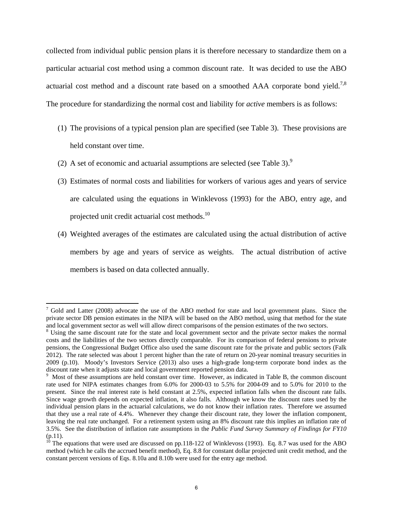collected from individual public pension plans it is therefore necessary to standardize them on a particular actuarial cost method using a common discount rate. It was decided to use the ABO actuarial cost method and a discount rate based on a smoothed  $AAA$  corporate bond yield.<sup>7,8</sup> The procedure for standardizing the normal cost and liability for *active* members is as follows:

- (1) The provisions of a typical pension plan are specified (see Table 3). These provisions are held constant over time.
- (2) A set of economic and actuarial assumptions are selected (see Table 3).<sup>9</sup>
- (3) Estimates of normal costs and liabilities for workers of various ages and years of service are calculated using the equations in Winklevoss (1993) for the ABO, entry age, and projected unit credit actuarial cost methods.<sup>10</sup>
- (4) Weighted averages of the estimates are calculated using the actual distribution of active members by age and years of service as weights. The actual distribution of active members is based on data collected annually.

 $7$  Gold and Latter (2008) advocate the use of the ABO method for state and local government plans. Since the private sector DB pension estimates in the NIPA will be based on the ABO method, using that method for the state and local government sector as well will allow direct comparisons of the pension estimates of the two sectors. 8

<sup>&</sup>lt;sup>8</sup> Using the same discount rate for the state and local government sector and the private sector makes the normal costs and the liabilities of the two sectors directly comparable. For its comparison of federal pensions to private pensions, the Congressional Budget Office also used the same discount rate for the private and public sectors (Falk 2012). The rate selected was about 1 percent higher than the rate of return on 20-year nominal treasury securities in 2009 (p.10). Moody's Investors Service (2013) also uses a high-grade long-term corporate bond index as the discount rate when it adjusts state and local government reported pension data.

<sup>&</sup>lt;sup>9</sup> Most of these assumptions are held constant over time. However, as indicated in Table B, the common discount rate used for NIPA estimates changes from 6.0% for 2000-03 to 5.5% for 2004-09 and to 5.0% for 2010 to the present. Since the real interest rate is held constant at 2.5%, expected inflation falls when the discount rate falls. Since wage growth depends on expected inflation, it also falls. Although we know the discount rates used by the individual pension plans in the actuarial calculations, we do not know their inflation rates. Therefore we assumed that they use a real rate of 4.4%. Whenever they change their discount rate, they lower the inflation component, leaving the real rate unchanged. For a retirement system using an 8% discount rate this implies an inflation rate of 3.5%. See the distribution of inflation rate assumptions in the *Public Fund Survey Summary of Findings for FY10* (p.11).

 $10$  The equations that were used are discussed on pp.118-122 of Winklevoss (1993). Eq. 8.7 was used for the ABO method (which he calls the accrued benefit method), Eq. 8.8 for constant dollar projected unit credit method, and the constant percent versions of Eqs. 8.10a and 8.10b were used for the entry age method.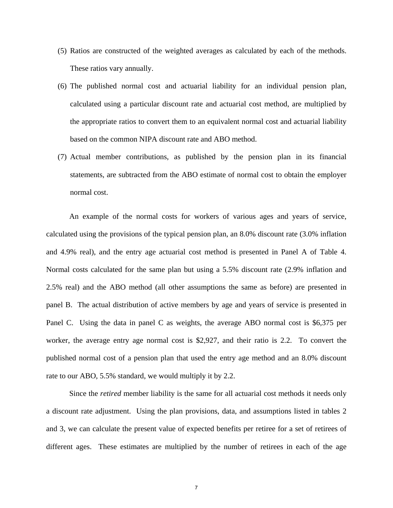- (5) Ratios are constructed of the weighted averages as calculated by each of the methods. These ratios vary annually.
- (6) The published normal cost and actuarial liability for an individual pension plan, calculated using a particular discount rate and actuarial cost method, are multiplied by the appropriate ratios to convert them to an equivalent normal cost and actuarial liability based on the common NIPA discount rate and ABO method.
- (7) Actual member contributions, as published by the pension plan in its financial statements, are subtracted from the ABO estimate of normal cost to obtain the employer normal cost.

 An example of the normal costs for workers of various ages and years of service, calculated using the provisions of the typical pension plan, an 8.0% discount rate (3.0% inflation and 4.9% real), and the entry age actuarial cost method is presented in Panel A of Table 4. Normal costs calculated for the same plan but using a 5.5% discount rate (2.9% inflation and 2.5% real) and the ABO method (all other assumptions the same as before) are presented in panel B. The actual distribution of active members by age and years of service is presented in Panel C. Using the data in panel C as weights, the average ABO normal cost is \$6,375 per worker, the average entry age normal cost is \$2,927, and their ratio is 2.2. To convert the published normal cost of a pension plan that used the entry age method and an 8.0% discount rate to our ABO, 5.5% standard, we would multiply it by 2.2.

 Since the *retired* member liability is the same for all actuarial cost methods it needs only a discount rate adjustment. Using the plan provisions, data, and assumptions listed in tables 2 and 3, we can calculate the present value of expected benefits per retiree for a set of retirees of different ages. These estimates are multiplied by the number of retirees in each of the age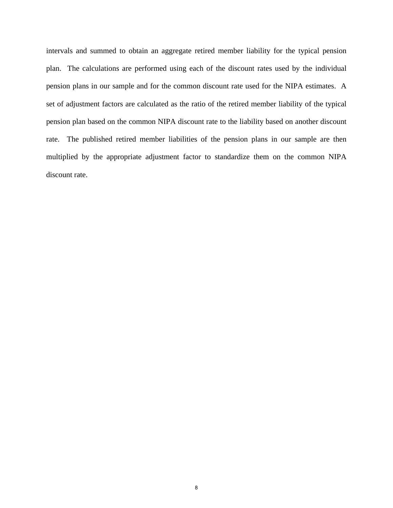intervals and summed to obtain an aggregate retired member liability for the typical pension plan. The calculations are performed using each of the discount rates used by the individual pension plans in our sample and for the common discount rate used for the NIPA estimates. A set of adjustment factors are calculated as the ratio of the retired member liability of the typical pension plan based on the common NIPA discount rate to the liability based on another discount rate. The published retired member liabilities of the pension plans in our sample are then multiplied by the appropriate adjustment factor to standardize them on the common NIPA discount rate.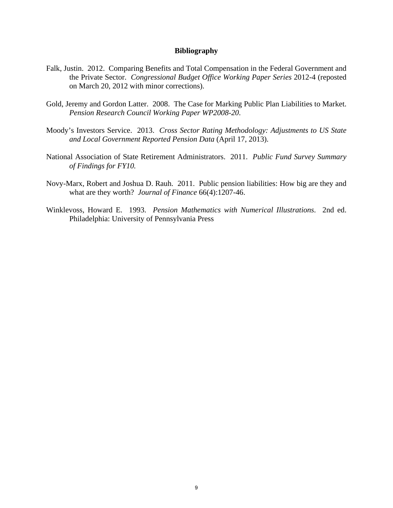#### **Bibliography**

- Falk, Justin. 2012. Comparing Benefits and Total Compensation in the Federal Government and the Private Sector. *Congressional Budget Office Working Paper Series* 2012-4 (reposted on March 20, 2012 with minor corrections).
- Gold, Jeremy and Gordon Latter. 2008. The Case for Marking Public Plan Liabilities to Market. *Pension Research Council Working Paper WP2008-20*.
- Moody's Investors Service. 2013. *Cross Sector Rating Methodology: Adjustments to US State and Local Government Reported Pension Data* (April 17, 2013).
- National Association of State Retirement Administrators. 2011. *Public Fund Survey Summary of Findings for FY10.*
- Novy-Marx, Robert and Joshua D. Rauh. 2011. Public pension liabilities: How big are they and what are they worth? *Journal of Finance* 66(4):1207-46.
- Winklevoss, Howard E. 1993. *Pension Mathematics with Numerical Illustrations*. 2nd ed. Philadelphia: University of Pennsylvania Press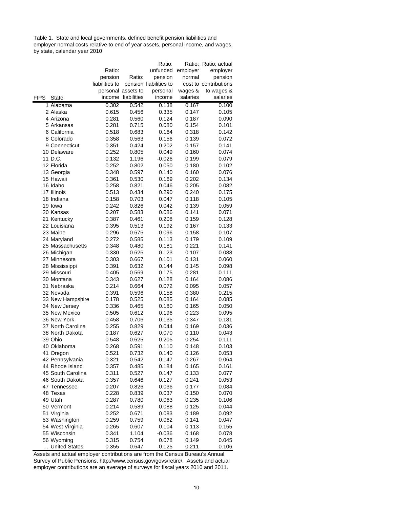Table 1. State and local governments, defined benefit pension liabilities and employer normal costs relative to end of year assets, personal income, and wages, by state, calendar year 2010

|             |                   |                |                    | Ratio:                 |          | Ratio: Ratio: actual  |
|-------------|-------------------|----------------|--------------------|------------------------|----------|-----------------------|
|             |                   | Ratio:         |                    | unfunded               | employer | employer              |
|             |                   | pension        | Ratio:             | pension                | normal   | pension               |
|             |                   | liabilities to |                    | pension liabilities to |          | cost to contributions |
|             |                   |                | personal assets to | personal               | wages &  | to wages &            |
| <b>FIPS</b> | <b>State</b>      | income         | liabilities        | income                 | salaries | salaries              |
|             | 1 Alabama         | 0.302          | 0.542              | 0.138                  | 0.167    | 0.100                 |
|             | 2 Alaska          | 0.615          | 0.456              | 0.335                  | 0.147    | 0.105                 |
|             | 4 Arizona         | 0.281          | 0.560              | 0.124                  | 0.187    | 0.090                 |
|             | 5 Arkansas        | 0.281          | 0.715              | 0.080                  | 0.154    | 0.101                 |
|             | 6 California      | 0.518          | 0.683              | 0.164                  | 0.318    | 0.142                 |
|             | 8 Colorado        | 0.358          | 0.563              | 0.156                  | 0.139    | 0.072                 |
|             | 9 Connecticut     | 0.351          | 0.424              | 0.202                  | 0.157    | 0.141                 |
|             | 10 Delaware       | 0.252          | 0.805              | 0.049                  | 0.160    | 0.074                 |
|             | 11 D.C.           | 0.132          | 1.196              | -0.026                 | 0.199    | 0.079                 |
|             | 12 Florida        | 0.252          | 0.802              | 0.050                  | 0.180    | 0.102                 |
|             | 13 Georgia        | 0.348          | 0.597              | 0.140                  | 0.160    | 0.076                 |
|             | 15 Hawaii         | 0.361          | 0.530              | 0.169                  | 0.202    | 0.134                 |
|             | 16 Idaho          | 0.258          | 0.821              | 0.046                  | 0.205    | 0.082                 |
|             | 17 Illinois       | 0.513          | 0.434              | 0.290                  | 0.240    | 0.175                 |
|             | 18 Indiana        | 0.158          | 0.703              | 0.047                  | 0.118    | 0.105                 |
|             | 19 Iowa           | 0.242          | 0.826              | 0.042                  | 0.139    | 0.059                 |
|             | 20 Kansas         | 0.207          | 0.583              | 0.086                  | 0.141    | 0.071                 |
|             | 21 Kentucky       | 0.387          | 0.461              | 0.208                  | 0.159    | 0.128                 |
|             | 22 Louisiana      | 0.395          | 0.513              | 0.192                  | 0.167    | 0.133                 |
|             | 23 Maine          | 0.296          | 0.676              | 0.096                  | 0.158    | 0.107                 |
|             | 24 Maryland       | 0.272          | 0.585              | 0.113                  | 0.179    | 0.109                 |
|             | 25 Massachusetts  | 0.348          | 0.480              | 0.181                  | 0.221    | 0.141                 |
|             | 26 Michigan       | 0.330          | 0.626              | 0.123                  | 0.107    | 0.088                 |
|             | 27 Minnesota      | 0.303          | 0.667              | 0.101                  | 0.131    | 0.060                 |
|             | 28 Mississippi    | 0.391          | 0.632              | 0.144                  | 0.145    | 0.098                 |
|             | 29 Missouri       | 0.405          | 0.569              | 0.175                  | 0.281    | 0.111                 |
|             | 30 Montana        | 0.343          | 0.627              | 0.128                  | 0.164    | 0.086                 |
|             | 31 Nebraska       | 0.214          | 0.664              | 0.072                  | 0.095    | 0.057                 |
|             | 32 Nevada         | 0.391          | 0.596              | 0.158                  | 0.380    | 0.215                 |
|             | 33 New Hampshire  | 0.178          | 0.525              | 0.085                  | 0.164    | 0.085                 |
|             | 34 New Jersey     | 0.336          | 0.465              | 0.180                  | 0.165    | 0.050                 |
|             | 35 New Mexico     | 0.505          | 0.612              | 0.196                  | 0.223    | 0.095                 |
|             | 36 New York       | 0.458          | 0.706              | 0.135                  | 0.347    | 0.181                 |
|             | 37 North Carolina | 0.255          | 0.829              | 0.044                  | 0.169    | 0.036                 |
|             | 38 North Dakota   | 0.187          | 0.627              | 0.070                  | 0.110    | 0.043                 |
|             | 39 Ohio           | 0.548          | 0.625              | 0.205                  | 0.254    | 0.111                 |
|             | 40 Oklahoma       | 0.268          | 0.591              | 0.110                  | 0.148    | 0.103                 |
|             | 41 Oregon         | 0.521          | 0.732              | 0.140                  | 0.126    | 0.053                 |
|             | 42 Pennsylvania   | 0.321          | 0.542              | 0.147                  | 0.267    | 0.064                 |
|             | 44 Rhode Island   | 0.357          | 0.485              | 0.184                  | 0.165    | 0.161                 |
|             | 45 South Carolina | 0.311          | 0.527              | 0.147                  | 0.133    | 0.077                 |
|             | 46 South Dakota   | 0.357          | 0.646              | 0.127                  | 0.241    | 0.053                 |
|             | 47 Tennessee      | 0.207          | 0.826              | 0.036                  | 0.177    | 0.084                 |
|             | 48 Texas          | 0.228          | 0.839              | 0.037                  | 0.150    | 0.070                 |
|             | 49 Utah           | 0.287          | 0.780              | 0.063                  | 0.235    | 0.106                 |
|             | 50 Vermont        | 0.214          | 0.589              | 0.088                  | 0.125    | 0.044                 |
|             | 51 Virginia       | 0.252          | 0.671              | 0.083                  | 0.189    | 0.092                 |
|             | 53 Washington     | 0.259          | 0.759              | 0.062                  | 0.141    | 0.047                 |
|             | 54 West Virginia  | 0.265          | 0.607              | 0.104                  | 0.113    | 0.155                 |
|             | 55 Wisconsin      | 0.341          | 1.104              | -0.036                 | 0.168    | 0.078                 |
|             | 56 Wyoming        | 0.315          | 0.754              | 0.078                  | 0.149    | 0.045                 |
|             | United States     | 0.355          | 0.647              | 0.125                  | 0.211    | 0.106                 |

Assets and actual employer contributions are from the Census Bureau's Annual Survey of Public Pensions, http://www.census.gov/govs/retire/. Assets and actual employer contributions are an average of surveys for fiscal years 2010 and 2011.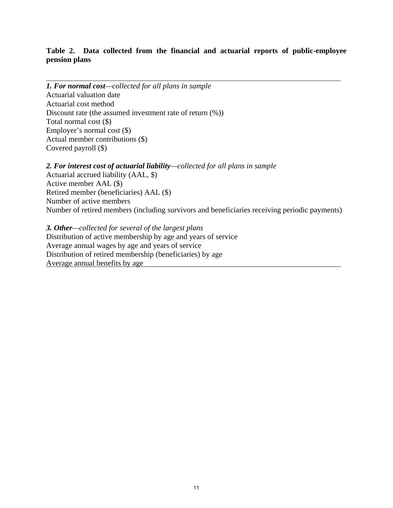## **Table 2. Data collected from the financial and actuarial reports of public-employee pension plans**

*1. For normal cost—collected for all plans in sample* Actuarial valuation date Actuarial cost method Discount rate (the assumed investment rate of return (%)) Total normal cost (\$) Employer's normal cost (\$) Actual member contributions (\$) Covered payroll (\$)

*2. For interest cost of actuarial liability—collected for all plans in sample* Actuarial accrued liability (AAL, \$) Active member AAL (\$) Retired member (beneficiaries) AAL (\$) Number of active members Number of retired members (including survivors and beneficiaries receiving periodic payments)

*3. Other—collected for several of the largest plans* Distribution of active membership by age and years of service Average annual wages by age and years of service Distribution of retired membership (beneficiaries) by age Average annual benefits by age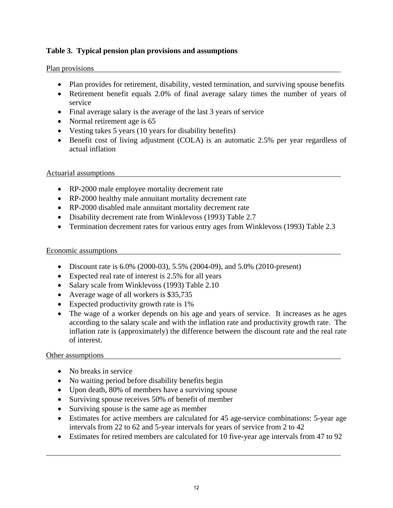## **Table 3. Typical pension plan provisions and assumptions**

## Plan provisions

- Plan provides for retirement, disability, vested termination, and surviving spouse benefits
- Retirement benefit equals 2.0% of final average salary times the number of years of service
- Final average salary is the average of the last 3 years of service
- Normal retirement age is 65
- Vesting takes 5 years (10 years for disability benefits)
- Benefit cost of living adjustment (COLA) is an automatic 2.5% per year regardless of actual inflation

## Actuarial assumptions

- RP-2000 male employee mortality decrement rate
- RP-2000 healthy male annuitant mortality decrement rate
- RP-2000 disabled male annuitant mortality decrement rate
- Disability decrement rate from Winklevoss (1993) Table 2.7
- Termination decrement rates for various entry ages from Winklevoss (1993) Table 2.3

## Economic assumptions

- Discount rate is 6.0% (2000-03), 5.5% (2004-09), and 5.0% (2010-present)
- Expected real rate of interest is 2.5% for all years
- Salary scale from Winklevoss (1993) Table 2.10
- Average wage of all workers is \$35,735
- Expected productivity growth rate is 1%
- The wage of a worker depends on his age and years of service. It increases as he ages according to the salary scale and with the inflation rate and productivity growth rate. The inflation rate is (approximately) the difference between the discount rate and the real rate of interest.

## Other assumptions

- No breaks in service
- No waiting period before disability benefits begin
- Upon death, 80% of members have a surviving spouse
- Surviving spouse receives 50% of benefit of member
- Surviving spouse is the same age as member
- Estimates for active members are calculated for 45 age-service combinations: 5-year age intervals from 22 to 62 and 5-year intervals for years of service from 2 to 42
- Estimates for retired members are calculated for 10 five-year age intervals from 47 to 92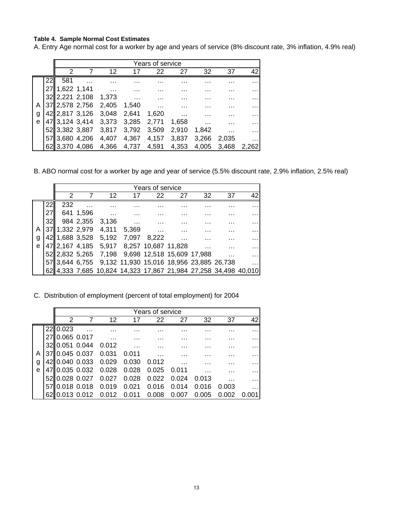#### **Table 4. Sample Normal Cost Estimates**

A. Entry Age normal cost for a worker by age and years of service (8% discount rate, 3% inflation, 4.9% real)

|   |    | Years of service |                |                            |             |          |          |       |       |       |
|---|----|------------------|----------------|----------------------------|-------------|----------|----------|-------|-------|-------|
|   |    | 2                |                | 12                         | 17          | 22       | 27       | 32    | 37    | 42    |
|   | 22 | 581              | $\cdots$       | .                          | .           | .        | .        | .     | .     |       |
|   |    | 27 1,622 1,141   |                | <b>Contract</b>            |             |          |          |       |       |       |
|   |    |                  |                | 32 2,221 2,108 1,373       |             | .        | .        | .     |       |       |
| A |    |                  |                | 37 2,578 2,756 2,405 1,540 |             | $\cdots$ | .        | .     | .     | .     |
| g |    |                  |                | 42  2,817 3,126 3,048      | 2,641 1,620 |          | $\cdots$ | .     |       |       |
| e |    |                  |                | 47 3,124 3,414 3,373       | 3,285       | 2,771    | 1,658    | .     |       |       |
|   |    |                  |                | 52 3,382 3,887 3,817       | 3,792       | 3,509    | 2,910    | 1,842 |       |       |
|   |    | 57 3,680 4,206   |                | 4,407                      | 4,367       | 4,157    | 3,837    | 3,266 | 2,035 |       |
|   |    |                  | 62 3,370 4,086 | 4,366                      | 4,737       | 4,591    | 4.353    | 4,005 | 3,468 | 2,262 |

B. ABO normal cost for a worker by age and year of service (5.5% discount rate, 2.9% inflation, 2.5% real)

|   |    | Years of service |           |                                                                 |   |    |    |    |    |    |
|---|----|------------------|-----------|-----------------------------------------------------------------|---|----|----|----|----|----|
|   |    |                  |           | 12                                                              |   | 22 | 27 | 32 | 37 | 42 |
|   | 22 | 232              |           |                                                                 |   |    |    | .  |    | .  |
|   |    |                  | 641 1,596 | $\cdots$                                                        | . |    | .  | .  | .  | .  |
|   |    |                  |           | 984 2,355 3,136                                                 |   |    |    |    |    |    |
| Α |    |                  |           | 37 1,332 2,979 4,311 5,369                                      |   |    |    |    |    |    |
| g |    |                  |           | 42 1,688 3,528 5,192 7,097 8,222                                |   |    |    | .  | .  | .  |
| e |    |                  |           | 47 2,167 4,185 5,917 8,257 10,687 11,828                        |   |    |    |    |    |    |
|   |    |                  |           | 52 2,832 5,265 7,198 9,698 12,518 15,609 17,988                 |   |    |    |    |    |    |
|   |    |                  |           | 57 3,644 6,755 9,132 11,930 15,016 18,956 23,885 26,738         |   |    |    |    |    |    |
|   |    |                  |           | 62 4,333 7,685 10,824 14,323 17,867 21,984 27,258 34,498 40,010 |   |    |    |    |    |    |

C. Distribution of employment (percent of total employment) for 2004

|   | Years of service |                |       |             |       |       |       |       |    |
|---|------------------|----------------|-------|-------------|-------|-------|-------|-------|----|
|   | 2                |                | 12    | 17          | 22    | 27    | 32    | 37    | 42 |
|   | 22 0.023         |                |       | .           | .     |       |       |       |    |
|   | 0.065 0.017      |                |       | .           | .     | .     | .     |       | .  |
|   | 32 0.051 0.044   |                | 0.012 |             | .     | .     | .     | .     | .  |
|   | 37 0.045 0.037   |                | 0.031 | 0.011       |       |       |       |       | .  |
| g | 42 0.040 0.033   |                | 0.029 | 0.030       | 0.012 |       | .     |       | .  |
| e |                  | 47 0.035 0.032 | 0.028 | 0.028       | 0.025 | 0.011 | .     | .     | .  |
|   | 52 0.028 0.027   |                | 0.027 | 0.028       | 0.022 | 0.024 | 0.013 |       |    |
|   | 5710.018 0.018   |                | 0.019 | 0.021       | 0.016 | 0.014 | 0.016 | 0.003 | .  |
|   | 6210.013 0.012   |                | 0.012 | 0.011 0.008 |       | 0.007 | 0.005 |       |    |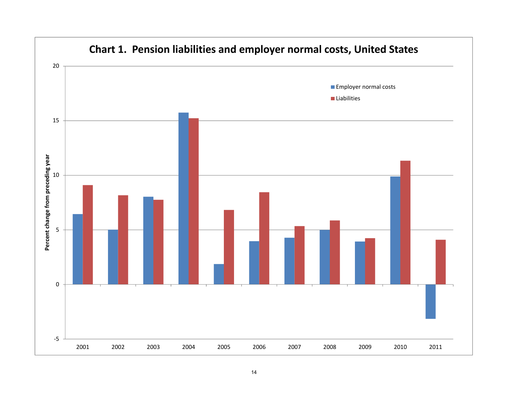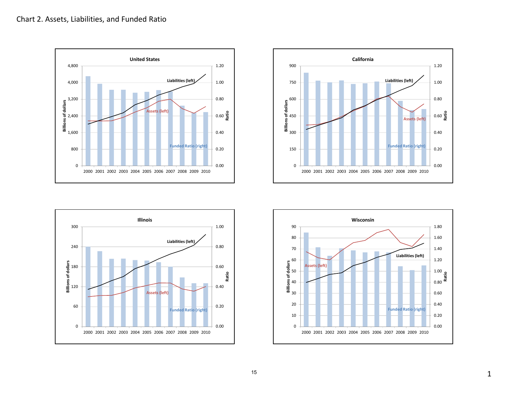





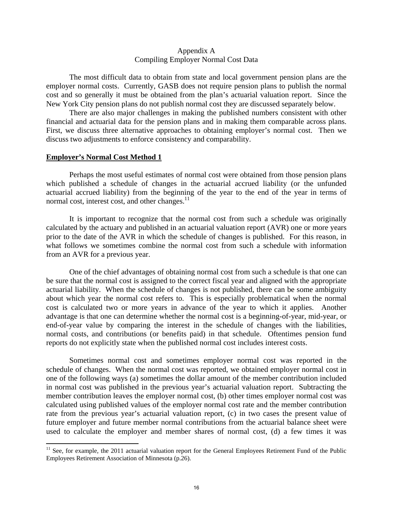#### Appendix A Compiling Employer Normal Cost Data

 The most difficult data to obtain from state and local government pension plans are the employer normal costs. Currently, GASB does not require pension plans to publish the normal cost and so generally it must be obtained from the plan's actuarial valuation report. Since the New York City pension plans do not publish normal cost they are discussed separately below.

 There are also major challenges in making the published numbers consistent with other financial and actuarial data for the pension plans and in making them comparable across plans. First, we discuss three alternative approaches to obtaining employer's normal cost. Then we discuss two adjustments to enforce consistency and comparability.

#### **Employer's Normal Cost Method 1**

 Perhaps the most useful estimates of normal cost were obtained from those pension plans which published a schedule of changes in the actuarial accrued liability (or the unfunded actuarial accrued liability) from the beginning of the year to the end of the year in terms of normal cost, interest cost, and other changes.<sup>11</sup>

 It is important to recognize that the normal cost from such a schedule was originally calculated by the actuary and published in an actuarial valuation report (AVR) one or more years prior to the date of the AVR in which the schedule of changes is published. For this reason, in what follows we sometimes combine the normal cost from such a schedule with information from an AVR for a previous year.

 One of the chief advantages of obtaining normal cost from such a schedule is that one can be sure that the normal cost is assigned to the correct fiscal year and aligned with the appropriate actuarial liability. When the schedule of changes is not published, there can be some ambiguity about which year the normal cost refers to. This is especially problematical when the normal cost is calculated two or more years in advance of the year to which it applies. Another advantage is that one can determine whether the normal cost is a beginning-of-year, mid-year, or end-of-year value by comparing the interest in the schedule of changes with the liabilities, normal costs, and contributions (or benefits paid) in that schedule. Oftentimes pension fund reports do not explicitly state when the published normal cost includes interest costs.

 Sometimes normal cost and sometimes employer normal cost was reported in the schedule of changes. When the normal cost was reported, we obtained employer normal cost in one of the following ways (a) sometimes the dollar amount of the member contribution included in normal cost was published in the previous year's actuarial valuation report. Subtracting the member contribution leaves the employer normal cost, (b) other times employer normal cost was calculated using published values of the employer normal cost rate and the member contribution rate from the previous year's actuarial valuation report, (c) in two cases the present value of future employer and future member normal contributions from the actuarial balance sheet were used to calculate the employer and member shares of normal cost, (d) a few times it was

<sup>&</sup>lt;sup>11</sup> See, for example, the 2011 actuarial valuation report for the General Employees Retirement Fund of the Public Employees Retirement Association of Minnesota (p.26).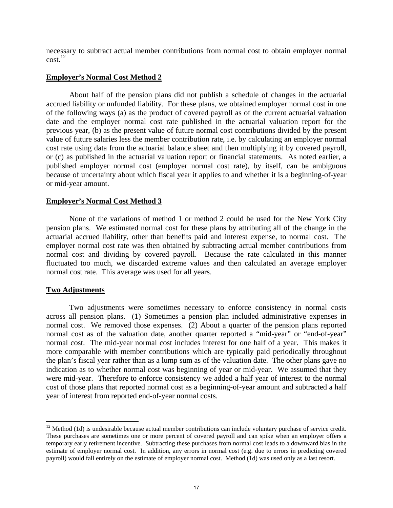necessary to subtract actual member contributions from normal cost to obtain employer normal  $\text{cost}$ <sup>12</sup>

### **Employer's Normal Cost Method 2**

 About half of the pension plans did not publish a schedule of changes in the actuarial accrued liability or unfunded liability. For these plans, we obtained employer normal cost in one of the following ways (a) as the product of covered payroll as of the current actuarial valuation date and the employer normal cost rate published in the actuarial valuation report for the previous year, (b) as the present value of future normal cost contributions divided by the present value of future salaries less the member contribution rate, i.e. by calculating an employer normal cost rate using data from the actuarial balance sheet and then multiplying it by covered payroll, or (c) as published in the actuarial valuation report or financial statements. As noted earlier, a published employer normal cost (employer normal cost rate), by itself, can be ambiguous because of uncertainty about which fiscal year it applies to and whether it is a beginning-of-year or mid-year amount.

### **Employer's Normal Cost Method 3**

 None of the variations of method 1 or method 2 could be used for the New York City pension plans. We estimated normal cost for these plans by attributing all of the change in the actuarial accrued liability, other than benefits paid and interest expense, to normal cost. The employer normal cost rate was then obtained by subtracting actual member contributions from normal cost and dividing by covered payroll. Because the rate calculated in this manner fluctuated too much, we discarded extreme values and then calculated an average employer normal cost rate. This average was used for all years.

#### **Two Adjustments**

 Two adjustments were sometimes necessary to enforce consistency in normal costs across all pension plans. (1) Sometimes a pension plan included administrative expenses in normal cost. We removed those expenses. (2) About a quarter of the pension plans reported normal cost as of the valuation date, another quarter reported a "mid-year" or "end-of-year" normal cost. The mid-year normal cost includes interest for one half of a year. This makes it more comparable with member contributions which are typically paid periodically throughout the plan's fiscal year rather than as a lump sum as of the valuation date. The other plans gave no indication as to whether normal cost was beginning of year or mid-year. We assumed that they were mid-year. Therefore to enforce consistency we added a half year of interest to the normal cost of those plans that reported normal cost as a beginning-of-year amount and subtracted a half year of interest from reported end-of-year normal costs.

 $12$  Method (1d) is undesirable because actual member contributions can include voluntary purchase of service credit. These purchases are sometimes one or more percent of covered payroll and can spike when an employer offers a temporary early retirement incentive. Subtracting these purchases from normal cost leads to a downward bias in the estimate of employer normal cost. In addition, any errors in normal cost (e.g. due to errors in predicting covered payroll) would fall entirely on the estimate of employer normal cost. Method (1d) was used only as a last resort.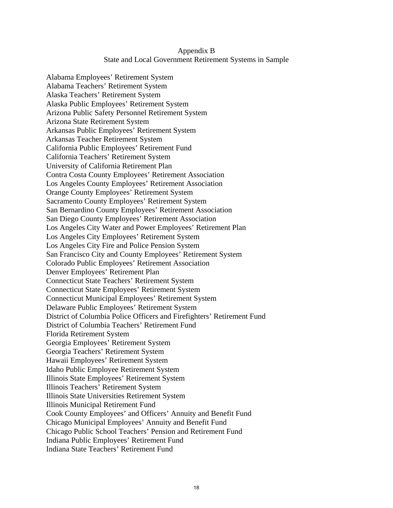## Appendix B State and Local Government Retirement Systems in Sample

Alabama Employees' Retirement System Alabama Teachers' Retirement System Alaska Teachers' Retirement System Alaska Public Employees' Retirement System Arizona Public Safety Personnel Retirement System Arizona State Retirement System Arkansas Public Employees' Retirement System Arkansas Teacher Retirement System California Public Employees' Retirement Fund California Teachers' Retirement System University of California Retirement Plan Contra Costa County Employees' Retirement Association Los Angeles County Employees' Retirement Association Orange County Employees' Retirement System Sacramento County Employees' Retirement System San Bernardino County Employees' Retirement Association San Diego County Employees' Retirement Association Los Angeles City Water and Power Employees' Retirement Plan Los Angeles City Employees' Retirement System Los Angeles City Fire and Police Pension System San Francisco City and County Employees' Retirement System Colorado Public Employees' Retirement Association Denver Employees' Retirement Plan Connecticut State Teachers' Retirement System Connecticut State Employees' Retirement System Connecticut Municipal Employees' Retirement System Delaware Public Employees' Retirement System District of Columbia Police Officers and Firefighters' Retirement Fund District of Columbia Teachers' Retirement Fund Florida Retirement System Georgia Employees' Retirement System Georgia Teachers' Retirement System Hawaii Employees' Retirement System Idaho Public Employee Retirement System Illinois State Employees' Retirement System Illinois Teachers' Retirement System Illinois State Universities Retirement System Illinois Municipal Retirement Fund Cook County Employees' and Officers' Annuity and Benefit Fund Chicago Municipal Employees' Annuity and Benefit Fund Chicago Public School Teachers' Pension and Retirement Fund Indiana Public Employees' Retirement Fund Indiana State Teachers' Retirement Fund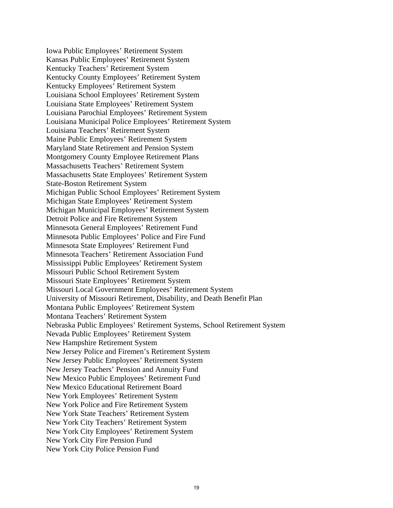Iowa Public Employees' Retirement System Kansas Public Employees' Retirement System Kentucky Teachers' Retirement System Kentucky County Employees' Retirement System Kentucky Employees' Retirement System Louisiana School Employees' Retirement System Louisiana State Employees' Retirement System Louisiana Parochial Employees' Retirement System Louisiana Municipal Police Employees' Retirement System Louisiana Teachers' Retirement System Maine Public Employees' Retirement System Maryland State Retirement and Pension System Montgomery County Employee Retirement Plans Massachusetts Teachers' Retirement System Massachusetts State Employees' Retirement System State-Boston Retirement System Michigan Public School Employees' Retirement System Michigan State Employees' Retirement System Michigan Municipal Employees' Retirement System Detroit Police and Fire Retirement System Minnesota General Employees' Retirement Fund Minnesota Public Employees' Police and Fire Fund Minnesota State Employees' Retirement Fund Minnesota Teachers' Retirement Association Fund Mississippi Public Employees' Retirement System Missouri Public School Retirement System Missouri State Employees' Retirement System Missouri Local Government Employees' Retirement System University of Missouri Retirement, Disability, and Death Benefit Plan Montana Public Employees' Retirement System Montana Teachers' Retirement System Nebraska Public Employees' Retirement Systems, School Retirement System Nevada Public Employees' Retirement System New Hampshire Retirement System New Jersey Police and Firemen's Retirement System New Jersey Public Employees' Retirement System New Jersey Teachers' Pension and Annuity Fund New Mexico Public Employees' Retirement Fund New Mexico Educational Retirement Board New York Employees' Retirement System New York Police and Fire Retirement System New York State Teachers' Retirement System New York City Teachers' Retirement System New York City Employees' Retirement System New York City Fire Pension Fund New York City Police Pension Fund